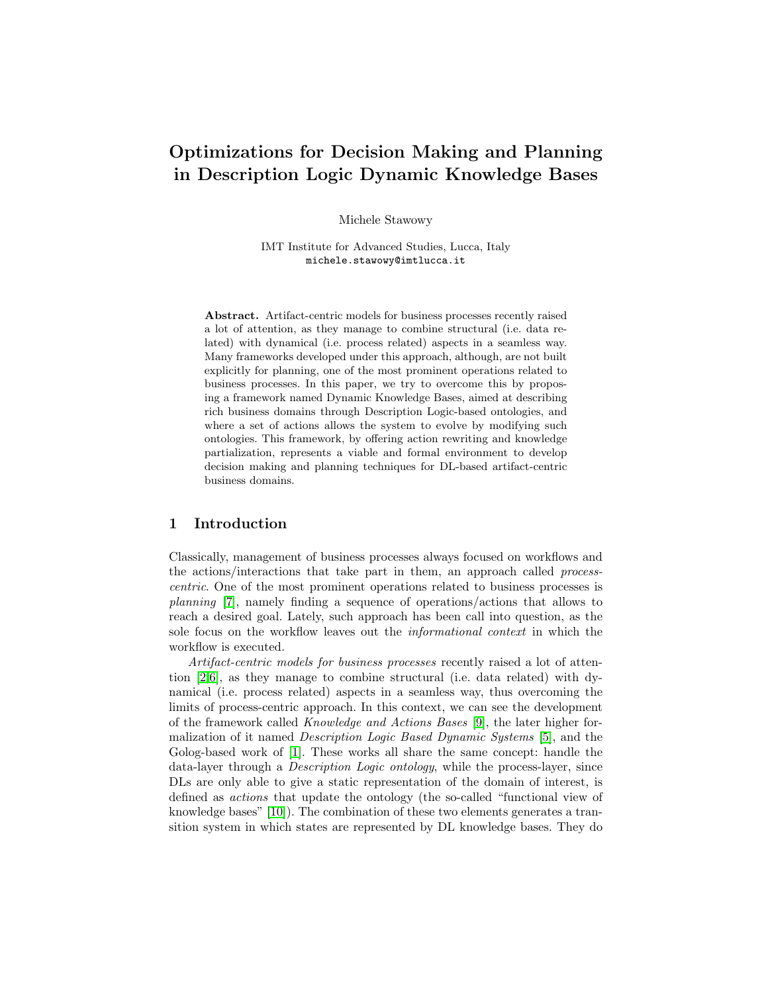# Optimizations for Decision Making and Planning in Description Logic Dynamic Knowledge Bases

Michele Stawowy

IMT Institute for Advanced Studies, Lucca, Italy michele.stawowy@imtlucca.it

Abstract. Artifact-centric models for business processes recently raised a lot of attention, as they manage to combine structural (i.e. data related) with dynamical (i.e. process related) aspects in a seamless way. Many frameworks developed under this approach, although, are not built explicitly for planning, one of the most prominent operations related to business processes. In this paper, we try to overcome this by proposing a framework named Dynamic Knowledge Bases, aimed at describing rich business domains through Description Logic-based ontologies, and where a set of actions allows the system to evolve by modifying such ontologies. This framework, by offering action rewriting and knowledge partialization, represents a viable and formal environment to develop decision making and planning techniques for DL-based artifact-centric business domains.

## 1 Introduction

Classically, management of business processes always focused on workflows and the actions/interactions that take part in them, an approach called processcentric. One of the most prominent operations related to business processes is planning [\[7\]](#page-11-0), namely finding a sequence of operations/actions that allows to reach a desired goal. Lately, such approach has been call into question, as the sole focus on the workflow leaves out the informational context in which the workflow is executed.

Artifact-centric models for business processes recently raised a lot of attention [\[2](#page-11-1)[,6\]](#page-11-2), as they manage to combine structural (i.e. data related) with dynamical (i.e. process related) aspects in a seamless way, thus overcoming the limits of process-centric approach. In this context, we can see the development of the framework called Knowledge and Actions Bases [\[9\]](#page-11-3), the later higher formalization of it named Description Logic Based Dynamic Systems [\[5\]](#page-11-4), and the Golog-based work of [\[1\]](#page-11-5). These works all share the same concept: handle the data-layer through a Description Logic ontology, while the process-layer, since DLs are only able to give a static representation of the domain of interest, is defined as actions that update the ontology (the so-called "functional view of knowledge bases" [\[10\]](#page-11-6)). The combination of these two elements generates a transition system in which states are represented by DL knowledge bases. They do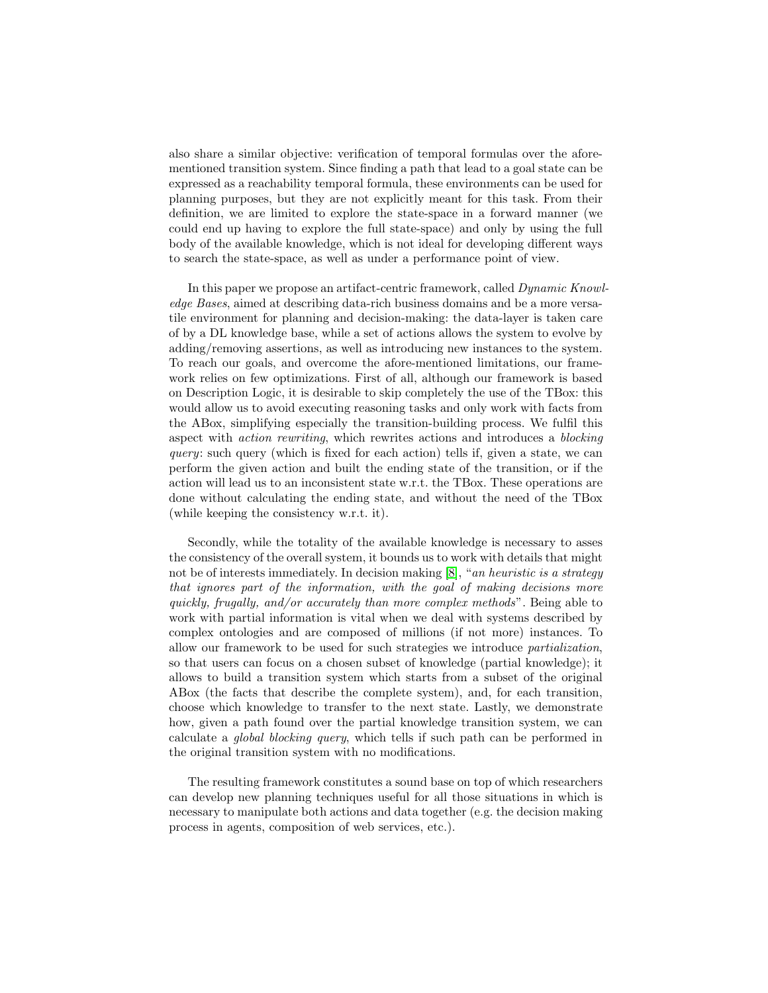also share a similar objective: verification of temporal formulas over the aforementioned transition system. Since finding a path that lead to a goal state can be expressed as a reachability temporal formula, these environments can be used for planning purposes, but they are not explicitly meant for this task. From their definition, we are limited to explore the state-space in a forward manner (we could end up having to explore the full state-space) and only by using the full body of the available knowledge, which is not ideal for developing different ways to search the state-space, as well as under a performance point of view.

In this paper we propose an artifact-centric framework, called Dynamic Knowledge Bases, aimed at describing data-rich business domains and be a more versatile environment for planning and decision-making: the data-layer is taken care of by a DL knowledge base, while a set of actions allows the system to evolve by adding/removing assertions, as well as introducing new instances to the system. To reach our goals, and overcome the afore-mentioned limitations, our framework relies on few optimizations. First of all, although our framework is based on Description Logic, it is desirable to skip completely the use of the TBox: this would allow us to avoid executing reasoning tasks and only work with facts from the ABox, simplifying especially the transition-building process. We fulfil this aspect with action rewriting, which rewrites actions and introduces a blocking query: such query (which is fixed for each action) tells if, given a state, we can perform the given action and built the ending state of the transition, or if the action will lead us to an inconsistent state w.r.t. the TBox. These operations are done without calculating the ending state, and without the need of the TBox (while keeping the consistency w.r.t. it).

Secondly, while the totality of the available knowledge is necessary to asses the consistency of the overall system, it bounds us to work with details that might not be of interests immediately. In decision making [\[8\]](#page-11-7), "an heuristic is a strategy that ignores part of the information, with the goal of making decisions more quickly, frugally, and/or accurately than more complex methods". Being able to work with partial information is vital when we deal with systems described by complex ontologies and are composed of millions (if not more) instances. To allow our framework to be used for such strategies we introduce partialization, so that users can focus on a chosen subset of knowledge (partial knowledge); it allows to build a transition system which starts from a subset of the original ABox (the facts that describe the complete system), and, for each transition, choose which knowledge to transfer to the next state. Lastly, we demonstrate how, given a path found over the partial knowledge transition system, we can calculate a global blocking query, which tells if such path can be performed in the original transition system with no modifications.

The resulting framework constitutes a sound base on top of which researchers can develop new planning techniques useful for all those situations in which is necessary to manipulate both actions and data together (e.g. the decision making process in agents, composition of web services, etc.).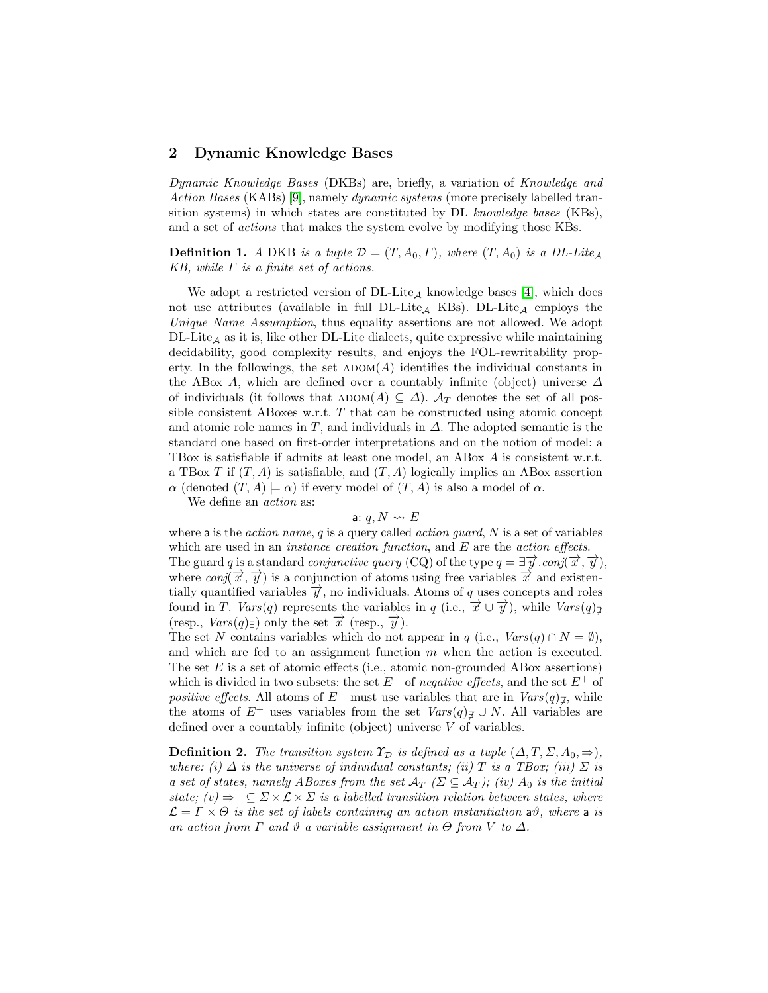### 2 Dynamic Knowledge Bases

Dynamic Knowledge Bases (DKBs) are, briefly, a variation of Knowledge and Action Bases (KABs) [\[9\]](#page-11-3), namely dynamic systems (more precisely labelled transition systems) in which states are constituted by DL knowledge bases (KBs), and a set of actions that makes the system evolve by modifying those KBs.

**Definition 1.** A DKB is a tuple  $\mathcal{D} = (T, A_0, \Gamma)$ , where  $(T, A_0)$  is a DL-Lite<sub>A</sub> KB, while  $\Gamma$  is a finite set of actions.

We adopt a restricted version of  $DL\text{-}Lite_A$  knowledge bases [\[4\]](#page-11-8), which does not use attributes (available in full  $DL\text{-}Lite_A$  KBs).  $DL\text{-}Lite_A$  employs the Unique Name Assumption, thus equality assertions are not allowed. We adopt  $DL\text{-}Lie_{\mathcal{A}}$  as it is, like other DL-Lite dialects, quite expressive while maintaining decidability, good complexity results, and enjoys the FOL-rewritability property. In the followings, the set  $ADOM(A)$  identifies the individual constants in the ABox A, which are defined over a countably infinite (object) universe  $\Delta$ of individuals (it follows that  $A$ DOM $(A) \subseteq \Delta$ ).  $A_T$  denotes the set of all possible consistent ABoxes w.r.t.  $T$  that can be constructed using atomic concept and atomic role names in T, and individuals in  $\Delta$ . The adopted semantic is the standard one based on first-order interpretations and on the notion of model: a TBox is satisfiable if admits at least one model, an ABox A is consistent w.r.t. a TBox T if  $(T, A)$  is satisfiable, and  $(T, A)$  logically implies an ABox assertion  $\alpha$  (denoted  $(T, A) \models \alpha$ ) if every model of  $(T, A)$  is also a model of  $\alpha$ .

We define an *action* as:

#### a:  $q, N \rightsquigarrow E$

where a is the *action name*, q is a query called *action quard*,  $N$  is a set of variables which are used in an *instance creation function*, and E are the *action effects*. The guard q is a standard *conjunctive query* (CQ) of the type  $q = \exists \vec{y}$ .*conj*( $\vec{x}$ ,  $\vec{y}$ ), where  $conj(\vec{x}, \vec{y})$  is a conjunction of atoms using free variables  $\vec{x}$  and existentially quantified variables  $\vec{y}$ , no individuals. Atoms of q uses concepts and roles found in T. Vars(q) represents the variables in q (i.e.,  $\overrightarrow{x} \cup \overrightarrow{y}$ ), while  $Vars(q)_{\overrightarrow{x}}$ (resp.,  $Vars(q)_{\exists}$ ) only the set  $\overrightarrow{x}$  (resp.,  $\overrightarrow{y}$ ).

The set N contains variables which do not appear in q (i.e.,  $Vars(q) \cap N = \emptyset$ ), and which are fed to an assignment function m when the action is executed. The set  $E$  is a set of atomic effects (i.e., atomic non-grounded ABox assertions) which is divided in two subsets: the set  $E^-$  of negative effects, and the set  $E^+$  of positive effects. All atoms of  $E^-$  must use variables that are in  $Vars(q)_{\mathbb{Z}}$ , while the atoms of  $E^+$  uses variables from the set  $Vars(q)_{\not\exists} \cup N$ . All variables are defined over a countably infinite (object) universe V of variables.

**Definition 2.** The transition system  $\Upsilon_{\mathcal{D}}$  is defined as a tuple  $(\Delta, T, \Sigma, A_0, \Rightarrow)$ , where: (i)  $\Delta$  is the universe of individual constants; (ii) T is a TBox; (iii)  $\Sigma$  is a set of states, namely ABoxes from the set  $\mathcal{A}_T$  ( $\Sigma \subseteq \mathcal{A}_T$ ); (iv)  $A_0$  is the initial state;  $(v) \Rightarrow \subseteq \Sigma \times \mathcal{L} \times \Sigma$  is a labelled transition relation between states, where  $\mathcal{L} = \Gamma \times \Theta$  is the set of labels containing an action instantiation a $\vartheta$ , where a is an action from  $\Gamma$  and  $\vartheta$  a variable assignment in  $\Theta$  from  $V$  to  $\Delta$ .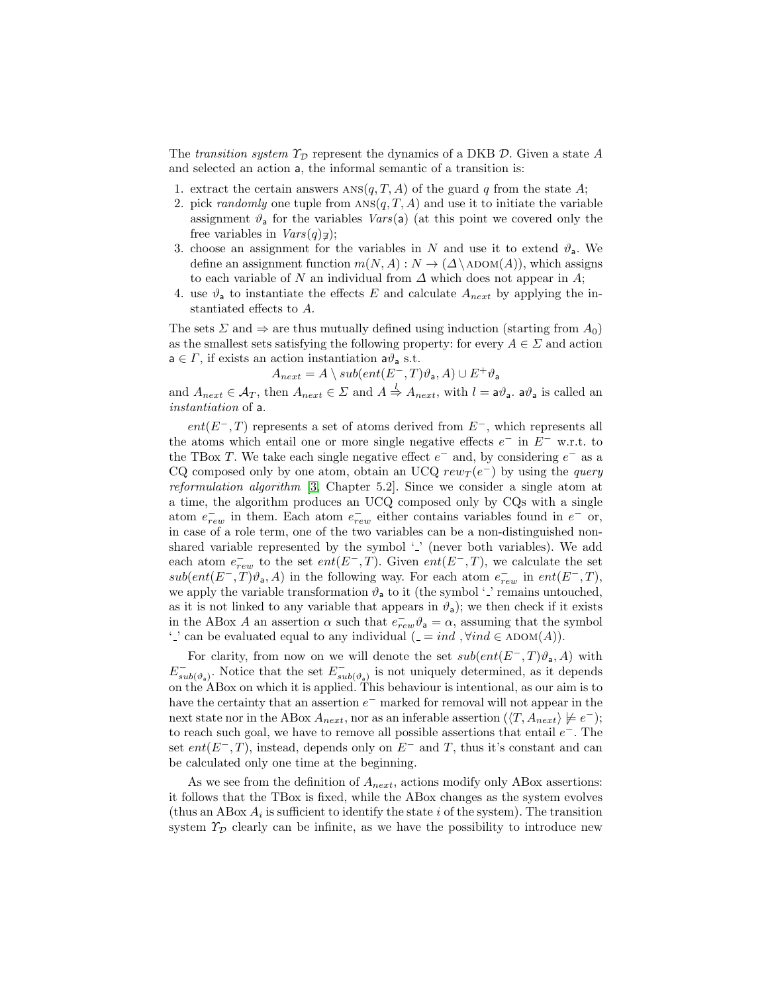The transition system  $\Upsilon_{\mathcal{D}}$  represent the dynamics of a DKB D. Given a state A and selected an action a, the informal semantic of a transition is:

- 1. extract the certain answers  $ANS(q, T, A)$  of the guard q from the state A;
- 2. pick *randomly* one tuple from  $ANS(q, T, A)$  and use it to initiate the variable assignment  $\vartheta_a$  for the variables  $Vars(a)$  (at this point we covered only the free variables in  $Vars(q)_{\mathcal{I}});$
- 3. choose an assignment for the variables in N and use it to extend  $\vartheta_a$ . We define an assignment function  $m(N, A) : N \to (\Delta \setminus \text{ADOM}(A))$ , which assigns to each variable of N an individual from  $\Delta$  which does not appear in A;
- 4. use  $\vartheta_a$  to instantiate the effects E and calculate  $A_{next}$  by applying the instantiated effects to A.

The sets  $\Sigma$  and  $\Rightarrow$  are thus mutually defined using induction (starting from  $A_0$ ) as the smallest sets satisfying the following property: for every  $A \in \Sigma$  and action  $a \in \Gamma$ , if exists an action instantiation  $a\vartheta_a$  s.t.

$$
A_{next} = A \setminus sub(ent(E^-, T)\vartheta_a, A) \cup E^+ \vartheta_a
$$

and  $A_{next} \in \mathcal{A}_T$ , then  $A_{next} \in \mathcal{L}$  and  $A \stackrel{l}{\Rightarrow} A_{next}$ , with  $l = \mathsf{a}\vartheta_\mathsf{a}$ .  $\mathsf{a}\vartheta_\mathsf{a}$  is called an instantiation of a.

 $ent(E^-, T)$  represents a set of atoms derived from  $E^-$ , which represents all the atoms which entail one or more single negative effects  $e^-$  in  $E^-$  w.r.t. to the TBox T. We take each single negative effect  $e^-$  and, by considering  $e^-$  as a CQ composed only by one atom, obtain an UCQ  $rew_T(e^-)$  by using the *query* reformulation algorithm [\[3,](#page-11-9) Chapter 5.2]. Since we consider a single atom at a time, the algorithm produces an UCQ composed only by CQs with a single atom  $e_{rew}^-$  in them. Each atom  $e_{rew}^-$  either contains variables found in  $e^-$  or, in case of a role term, one of the two variables can be a non-distinguished nonshared variable represented by the symbol  $\cdot$ .' (never both variables). We add each atom  $e_{rew}^-$  to the set  $ent(E^-, T)$ . Given  $ent(E^-, T)$ , we calculate the set  $sub(ent(E^-, T)\vartheta_a, A)$  in the following way. For each atom  $e_{rew}^-$  in  $ent(E^-, T)$ , we apply the variable transformation  $\vartheta_a$  to it (the symbol '.' remains untouched, as it is not linked to any variable that appears in  $\vartheta_a$ ); we then check if it exists in the ABox A an assertion  $\alpha$  such that  $e_{rew}^-\vartheta_a = \alpha$ , assuming that the symbol '.' can be evaluated equal to any individual  $( = ind, \forall ind \in \text{ADOM}(A)).$ 

For clarity, from now on we will denote the set  $sub(ent(E^-, T)\vartheta_a, A)$  with  $E_{sub(\vartheta_a)}^-$ . Notice that the set  $E_{sub(\vartheta_a)}^-$  is not uniquely determined, as it depends on the ABox on which it is applied. This behaviour is intentional, as our aim is to have the certainty that an assertion  $e^-$  marked for removal will not appear in the next state nor in the ABox  $A_{next}$ , nor as an inferable assertion  $(\langle T, A_{next} \rangle \not\models e^-);$ to reach such goal, we have to remove all possible assertions that entail  $e^-$ . The set ent( $E^-$ , T), instead, depends only on  $E^-$  and T, thus it's constant and can be calculated only one time at the beginning.

As we see from the definition of  $A_{next}$ , actions modify only ABox assertions: it follows that the TBox is fixed, while the ABox changes as the system evolves (thus an ABox  $A_i$  is sufficient to identify the state i of the system). The transition system  $\mathcal{T}_{\mathcal{D}}$  clearly can be infinite, as we have the possibility to introduce new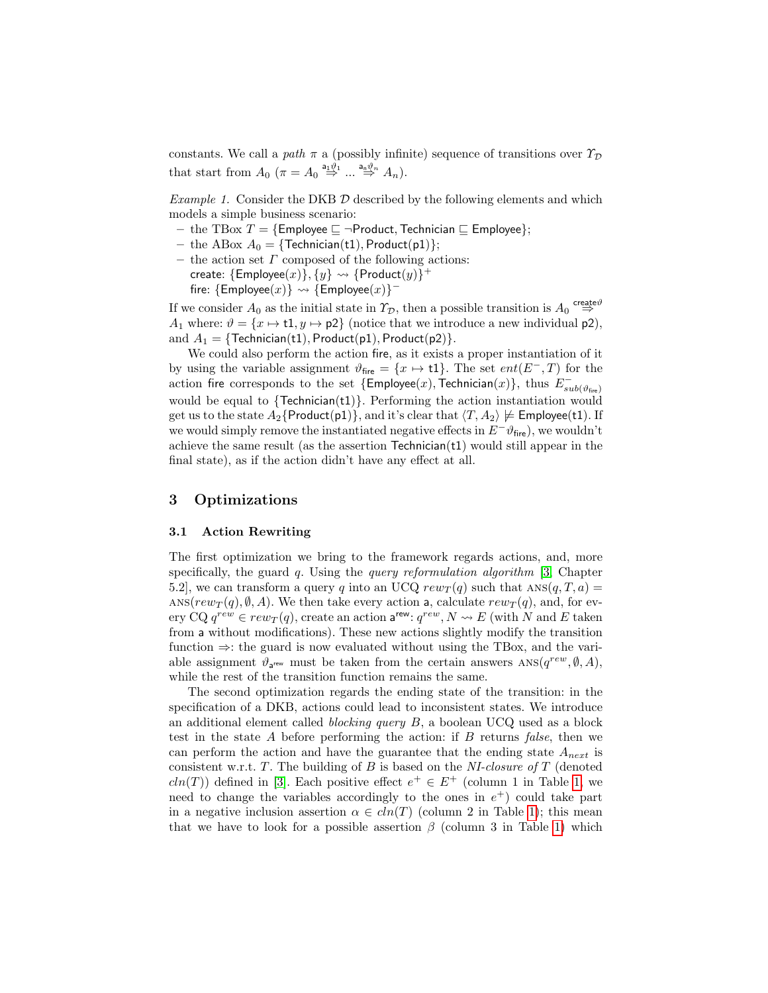constants. We call a path  $\pi$  a (possibly infinite) sequence of transitions over  $\mathcal{T}_{\mathcal{D}}$ that start from  $A_0$   $(\pi = A_0 \stackrel{a_1 \vartheta_1}{\Rightarrow} ... \stackrel{a_n \vartheta_n}{\Rightarrow} A_n).$ 

Example 1. Consider the DKB  $D$  described by the following elements and which models a simple business scenario:

- the TBox  $T = \{ \text{Employee} \sqsubseteq \neg \text{Product}, \text{Technical} \sqsubseteq \text{Employee} \};$
- the ABox  $A_0 = \{ \text{Technician}(\text{t1}), \text{Product}(\text{p1}) \};$
- the action set  $\Gamma$  composed of the following actions: create:  $\{\mathsf{Employee}(x)\}, \{y\} \rightsquigarrow \{\mathsf{Product}(y)\}^+$

fire:  ${Emplogee(x)} \leadsto {Emplogee(x)}$ -

If we consider  $A_0$  as the initial state in  $\mathcal{T}_{\mathcal{D}}$ , then a possible transition is  $A_0 \stackrel{\text{create}\vartheta}{\Rightarrow}$ A<sub>1</sub> where:  $\vartheta = \{x \mapsto t\mathbf{1}, y \mapsto \mathsf{p}2\}$  (notice that we introduce a new individual  $\mathsf{p}2$ ), and  $A_1 = \{\text{Technician}(t1), \text{Product}(p1), \text{Product}(p2)\}.$ 

We could also perform the action fire, as it exists a proper instantiation of it by using the variable assignment  $\vartheta_{\text{fire}} = \{x \mapsto t\}.$  The set  $ent(E^-, T)$  for the action fire corresponds to the set  $\{\textsf{Employee}(x),\textsf{Technical}(x)\},$  thus  $E_{sub(\vartheta_{\sf fire})}^{-}$ would be equal to  $\{Technician(t1)\}$ . Performing the action instantiation would get us to the state  $A_2$ {Product(p1)}, and it's clear that  $\langle T, A_2 \rangle \not\models \mathsf{Employee}(t1)$ . If we would simply remove the instantiated negative effects in  $E^{\dagger} \theta_{\text{fire}}$ , we wouldn't achieve the same result (as the assertion  $Technician(t1)$  would still appear in the final state), as if the action didn't have any effect at all.

## 3 Optimizations

#### 3.1 Action Rewriting

The first optimization we bring to the framework regards actions, and, more specifically, the guard  $q$ . Using the *query reformulation algorithm* [\[3,](#page-11-9) Chapter 5.2, we can transform a query q into an UCQ  $rew_T(q)$  such that ANS $(q, T, a)$  = ANS( $rew_T(q), \emptyset, A$ ). We then take every action a, calculate  $rew_T(q)$ , and, for every CQ  $q^{rew} \in rew_T(q)$ , create an action  $\mathsf{a}^{\mathsf{rew}}$ :  $q^{rew}, N \leadsto E$  (with N and E taken from a without modifications). These new actions slightly modify the transition function ⇒: the guard is now evaluated without using the TBox, and the variable assignment  $\vartheta_{\mathsf{a}^{\text{rew}}}$  must be taken from the certain answers ANS $(q^{rew}, \emptyset, A)$ , while the rest of the transition function remains the same.

The second optimization regards the ending state of the transition: in the specification of a DKB, actions could lead to inconsistent states. We introduce an additional element called *blocking query*  $B$ , a boolean UCQ used as a block test in the state  $A$  before performing the action: if  $B$  returns false, then we can perform the action and have the guarantee that the ending state  $A_{next}$  is consistent w.r.t.  $T$ . The building of  $B$  is based on the NI-closure of  $T$  (denoted  $cln(T)$  defined in [\[3\]](#page-11-9). Each positive effect  $e^+ \in E^+$  (column 1 in Table [1,](#page-6-0) we need to change the variables accordingly to the ones in  $e^+$ ) could take part in a negative inclusion assertion  $\alpha \in \text{cln}(T)$  (column 2 in Table [1\)](#page-6-0); this mean that we have to look for a possible assertion  $\beta$  (column 3 in Table [1\)](#page-6-0) which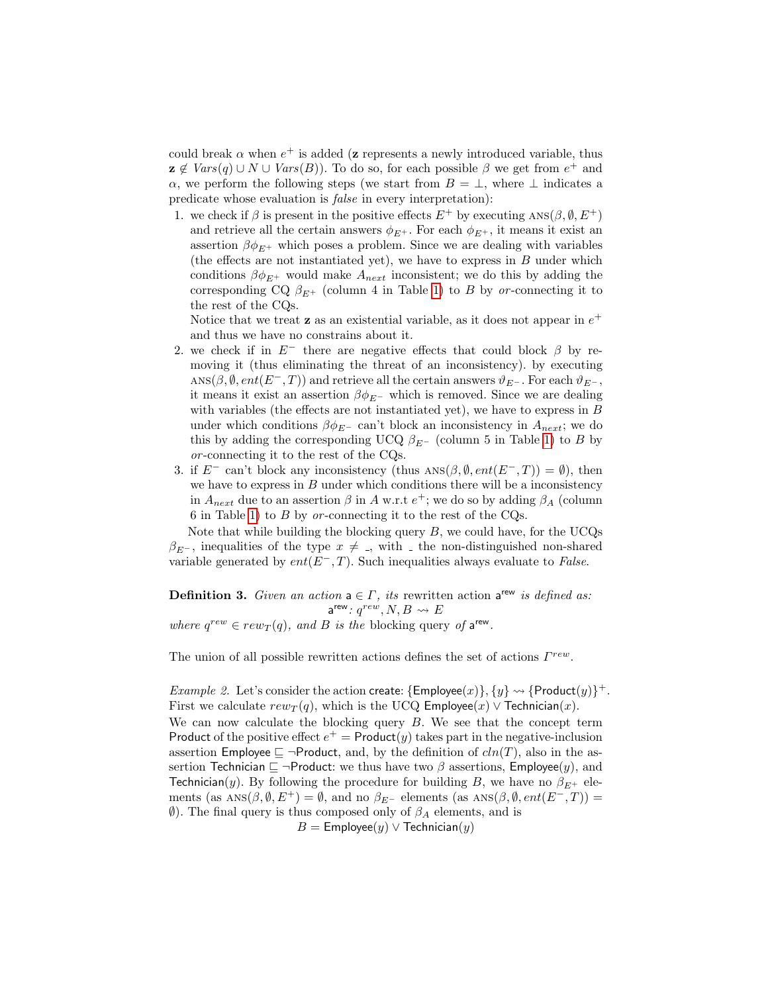could break  $\alpha$  when  $e^+$  is added (z represents a newly introduced variable, thus  $\mathbf{z} \notin \text{Vars}(q) \cup N \cup \text{Vars}(B)$ . To do so, for each possible  $\beta$  we get from  $e^+$  and  $\alpha$ , we perform the following steps (we start from  $B = \perp$ , where  $\perp$  indicates a predicate whose evaluation is false in every interpretation):

1. we check if  $\beta$  is present in the positive effects  $E^+$  by executing ANS( $\beta$ ,  $\emptyset$ ,  $E^+$ ) and retrieve all the certain answers  $\phi_{E^+}$ . For each  $\phi_{E^+}$ , it means it exist an assertion  $\beta \phi_{E^+}$  which poses a problem. Since we are dealing with variables (the effects are not instantiated yet), we have to express in B under which conditions  $\beta \phi_{E^+}$  would make  $A_{next}$  inconsistent; we do this by adding the corresponding CQ  $\beta_{E^+}$  (column 4 in Table [1\)](#page-6-0) to B by or-connecting it to the rest of the CQs.

Notice that we treat **z** as an existential variable, as it does not appear in  $e^+$ and thus we have no constrains about it.

- 2. we check if in  $E^-$  there are negative effects that could block  $\beta$  by removing it (thus eliminating the threat of an inconsistency). by executing ANS( $\beta$ ,  $\emptyset$ ,  $ent(E^-, T)$ ) and retrieve all the certain answers  $\vartheta_{E^-}$ . For each  $\vartheta_{E^-}$ , it means it exist an assertion  $\beta \phi_{E}$ - which is removed. Since we are dealing with variables (the effects are not instantiated yet), we have to express in B under which conditions  $\beta \phi_{E^-}$  can't block an inconsistency in  $A_{next}$ ; we do this by adding the corresponding UCQ  $\beta_{E^-}$  (column 5 in Table [1\)](#page-6-0) to B by or -connecting it to the rest of the CQs.
- 3. if  $E^-$  can't block any inconsistency (thus ANS $(\beta, \emptyset, ent(E^-, T)) = \emptyset$ ), then we have to express in  $B$  under which conditions there will be a inconsistency in  $A_{next}$  due to an assertion  $\beta$  in A w.r.t  $e^+$ ; we do so by adding  $\beta_A$  (column 6 in Table [1\)](#page-6-0) to  $B$  by or-connecting it to the rest of the CQs.

Note that while building the blocking query  $B$ , we could have, for the UCQs  $\beta_{E^-}$ , inequalities of the type  $x \neq 0$ , with the non-distinguished non-shared variable generated by  $ent(E^-, T)$ . Such inequalities always evaluate to *False*.

**Definition 3.** Given an action  $a \in \Gamma$ , its rewritten action  $a^{new}$  is defined as:  $a^{rew}$ :  $q^{rew}, N, B \leadsto E$ where  $q^{rew} \in rew_T(q)$ , and B is the blocking query of  $a^{rew}$ .

The union of all possible rewritten actions defines the set of actions  $\Gamma^{rew}$ .

*Example 2.* Let's consider the action create:  $\{Employee(x)\}, \{y\} \rightsquigarrow \{Product(y)\}^+.$ First we calculate  $rew_T(q)$ , which is the UCQ Employee $(x) \vee$  Technician $(x)$ . We can now calculate the blocking query  $B$ . We see that the concept term Product of the positive effect  $e^+$  = Product(y) takes part in the negative-inclusion assertion Employee  $\sqsubseteq \neg$ Product, and, by the definition of  $cln(T)$ , also in the assertion Technician  $\Box$  ¬Product: we thus have two  $\beta$  assertions, Employee(y), and **Technician**(y). By following the procedure for building B, we have no  $\beta_{E^+}$  elements (as  $\text{ANS}(\beta, \emptyset, E^+) = \emptyset$ , and no  $\beta_{E^-}$  elements (as  $\text{ANS}(\beta, \emptyset, ent(E^-, T)) =$  $\emptyset$ ). The final query is thus composed only of  $\beta_A$  elements, and is

 $B =$  Employee $(y) \vee$  Technician $(y)$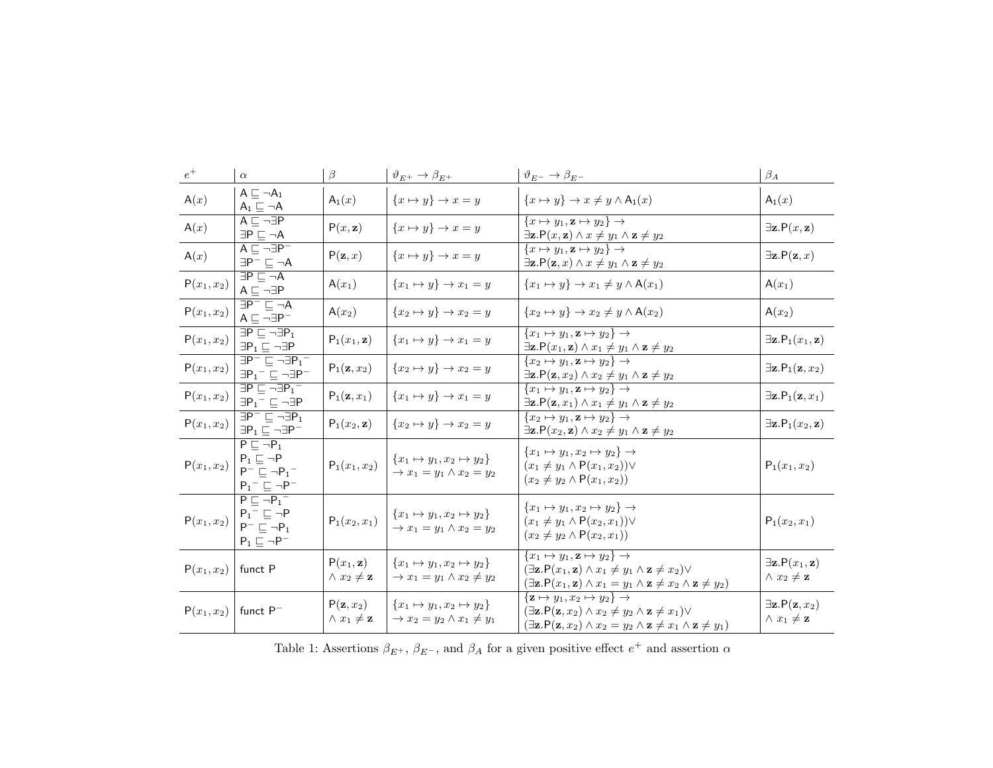<span id="page-6-0"></span>

| $\ensuremath{e^{+}}$ | $\alpha$                                                                                                           | $\beta$                                             | $\vartheta_{E^+}\to\beta_{E^+}$                                                       | $\vartheta_{E^-} \to \beta_{E^-}$                                                                                                                                                                                                                                                              | $\beta_A$                                                |
|----------------------|--------------------------------------------------------------------------------------------------------------------|-----------------------------------------------------|---------------------------------------------------------------------------------------|------------------------------------------------------------------------------------------------------------------------------------------------------------------------------------------------------------------------------------------------------------------------------------------------|----------------------------------------------------------|
| A(x)                 | $A \sqsubset \neg A_1$<br>$A_1 \sqsubseteq \neg A$                                                                 | $A_1(x)$                                            | ${x \mapsto y} \rightarrow x = y$                                                     | ${x \mapsto y} \rightarrow x \neq y \wedge A_1(x)$                                                                                                                                                                                                                                             | $A_1(x)$                                                 |
| A(x)                 | $A \sqsubseteq \neg \exists P$<br>$\exists P \sqsubseteq \neg A$                                                   | P(x, z)                                             | $\{x \mapsto y\} \rightarrow x = y$                                                   | $\{x \mapsto y_1, \mathbf{z} \mapsto y_2\} \rightarrow$<br>$\exists$ z.P $(x, z) \land x \neq y_1 \land z \neq y_2$                                                                                                                                                                            | $\exists$ z.P $(x, z)$                                   |
| A(x)                 | $A \sqsubset \neg \exists P^-$<br>$\exists P^{-} \sqsubseteq \neg A$                                               | $P(\mathbf{z},x)$                                   | ${x \mapsto y} \rightarrow x = y$                                                     | $\{x \mapsto y_1, \mathbf{z} \mapsto y_2\} \rightarrow$<br>$\exists$ z.P $(z, x) \wedge x \neq y_1 \wedge z \neq y_2$                                                                                                                                                                          | $\exists$ z.P $(z, x)$                                   |
| $P(x_1, x_2)$        | $\exists P \sqsubset \neg A$<br>$A \sqsubseteq \neg \exists P$                                                     | $A(x_1)$                                            | ${x_1 \mapsto y} \rightarrow x_1 = y$                                                 | ${x_1 \mapsto y} \rightarrow x_1 \neq y \wedge A(x_1)$                                                                                                                                                                                                                                         | $A(x_1)$                                                 |
| $P(x_1, x_2)$        | $\overline{\exists P^- \sqsubseteq \neg A}$<br>$A \sqsubseteq \neg \exists P^{-}$                                  | $A(x_2)$                                            | ${x_2 \mapsto y} \rightarrow x_2 = y$                                                 | ${x_2 \mapsto y} \rightarrow x_2 \neq y \wedge A(x_2)$                                                                                                                                                                                                                                         | $A(x_2)$                                                 |
| $P(x_1, x_2)$        | $\exists P \sqsubseteq \neg \exists P_1$<br>$\exists P_1 \sqsubseteq \neg \exists P$                               | $P_1(x_1, z)$                                       | $\{x_1 \mapsto y\} \rightarrow x_1 = y$                                               | $\{x_1 \mapsto y_1, \mathbf{z} \mapsto y_2\} \rightarrow$<br>$\exists$ z.P $(x_1, z) \wedge x_1 \neq y_1 \wedge z \neq y_2$                                                                                                                                                                    | $\exists$ z.P <sub>1</sub> $(x_1, z)$                    |
| $P(x_1, x_2)$        | $\overline{\exists P^{-} \sqsubseteq \neg \exists P_{1}^{-}}$<br>$\exists P_1^- \sqsubseteq \neg \exists P^-$      | $P_1(z, x_2)$                                       | ${x_2 \mapsto y} \rightarrow x_2 = y$                                                 | $\{x_2 \mapsto y_1, \mathbf{z} \mapsto y_2\} \rightarrow$<br>$\exists$ <b>z</b> . $P(z, x_2) \wedge x_2 \neq y_1 \wedge z \neq y_2$                                                                                                                                                            | $\exists$ z.P <sub>1</sub> (z, x <sub>2</sub> )          |
| $P(x_1, x_2)$        | $\exists P \sqsubseteq \neg \exists P_1^-$<br>$\exists P_1^- \sqsubseteq \neg \exists P$                           | $P_1(z, x_1)$                                       | ${x_1 \mapsto y} \rightarrow x_1 = y$                                                 | $\{x_1 \mapsto y_1, \mathbf{z} \mapsto y_2\} \rightarrow$<br>$\exists$ <b>z</b> . $P(z, x_1) \wedge x_1 \neq y_1 \wedge z \neq y_2$                                                                                                                                                            | $\exists$ z.P <sub>1</sub> (z, x <sub>1</sub> )          |
| $P(x_1, x_2)$        | $\overline{\exists P^- \sqsubseteq \neg \exists P_1}$<br>$\exists P_1 \sqsubseteq \neg \exists P^-$                | $P_1(x_2, z)$                                       | $\{x_2 \mapsto y\} \rightarrow x_2 = y$                                               | $\{x_2 \mapsto y_1, \mathbf{z} \mapsto y_2\} \rightarrow$<br>$\exists$ z.P $(x_2, z) \land x_2 \neq y_1 \land z \neq y_2$                                                                                                                                                                      | $\exists$ z.P <sub>1</sub> $(x_2, z)$                    |
| $P(x_1, x_2)$        | $P \sqsubseteq \neg P_1$<br>$P_1 \sqsubseteq \neg P$<br>$P^- \sqsubset \neg P_1^-$<br>$P_1^- \sqsubseteq \neg P^-$ | $P_1(x_1, x_2)$                                     | $\{x_1 \mapsto y_1, x_2 \mapsto y_2\}$<br>$\rightarrow x_1 = y_1 \wedge x_2 = y_2$    | $\{x_1 \mapsto y_1, x_2 \mapsto y_2\} \rightarrow$<br>$(x_1 \neq y_1 \wedge P(x_1, x_2)) \vee$<br>$(x_2 \neq y_2 \land P(x_1, x_2))$                                                                                                                                                           | $P_1(x_1, x_2)$                                          |
| $P(x_1, x_2)$        | $P \sqsubset \neg P_1^-$<br>$P_1^- \sqsubseteq \neg P$<br>$P^- \sqsubseteq \neg P_1$<br>$P_1 \sqsubseteq \neg P^-$ | $P_1(x_2, x_1)$                                     | $\{x_1 \mapsto y_1, x_2 \mapsto y_2\}$<br>$\rightarrow x_1 = y_1 \wedge x_2 = y_2$    | ${x_1 \mapsto y_1, x_2 \mapsto y_2} \rightarrow$<br>$(x_1 \neq y_1 \wedge P(x_2, x_1)) \vee$<br>$(x_2 \neq y_2 \land P(x_2, x_1))$                                                                                                                                                             | $P_1(x_2, x_1)$                                          |
| $P(x_1, x_2)$        | funct P                                                                                                            | $P(x_1, z)$<br>$\wedge x_2 \neq \mathbf{z}$         | $\{x_1 \mapsto y_1, x_2 \mapsto y_2\}$<br>$\rightarrow x_1 = y_1 \wedge x_2 \neq y_2$ | ${x_1 \mapsto y_1, \mathbf{z} \mapsto y_2} \rightarrow$<br>$(\exists \mathbf{z}.\mathsf{P}(x_1, \mathbf{z}) \wedge x_1 \neq y_1 \wedge \mathbf{z} \neq x_2) \vee$<br>$(\exists \mathbf{z}.\mathsf{P}(x_1, \mathbf{z}) \wedge x_1 = y_1 \wedge \mathbf{z} \neq x_2 \wedge \mathbf{z} \neq y_2)$ | $\exists$ z.P $(x_1, z)$<br>$\wedge x_2 \neq \mathbf{z}$ |
| $P(x_1, x_2)$        | funct $P^-$                                                                                                        | $P(\mathbf{z},x_2)$<br>$\wedge x_1 \neq \mathbf{z}$ | ${x_1 \mapsto y_1, x_2 \mapsto y_2}$<br>$\rightarrow x_2 = y_2 \wedge x_1 \neq y_1$   | $\{z \mapsto y_1, x_2 \mapsto y_2\} \rightarrow$<br>$(\exists \mathbf{z}.\mathsf{P}(\mathbf{z},x_2) \wedge x_2 \neq y_2 \wedge \mathbf{z} \neq x_1) \vee$<br>$(\exists \mathbf{z}.\mathsf{P}(\mathbf{z},x_2) \wedge x_2 = y_2 \wedge \mathbf{z} \neq x_1 \wedge \mathbf{z} \neq y_1)$          | $\exists$ z.P $(z, x_2)$<br>$\wedge x_1 \neq \mathbf{z}$ |

Table 1: Assertions  $\beta_{E^+}$ ,  $\beta_{E^-}$ , and  $\beta_A$  for a given positive effect  $e^+$  and assertion  $\alpha$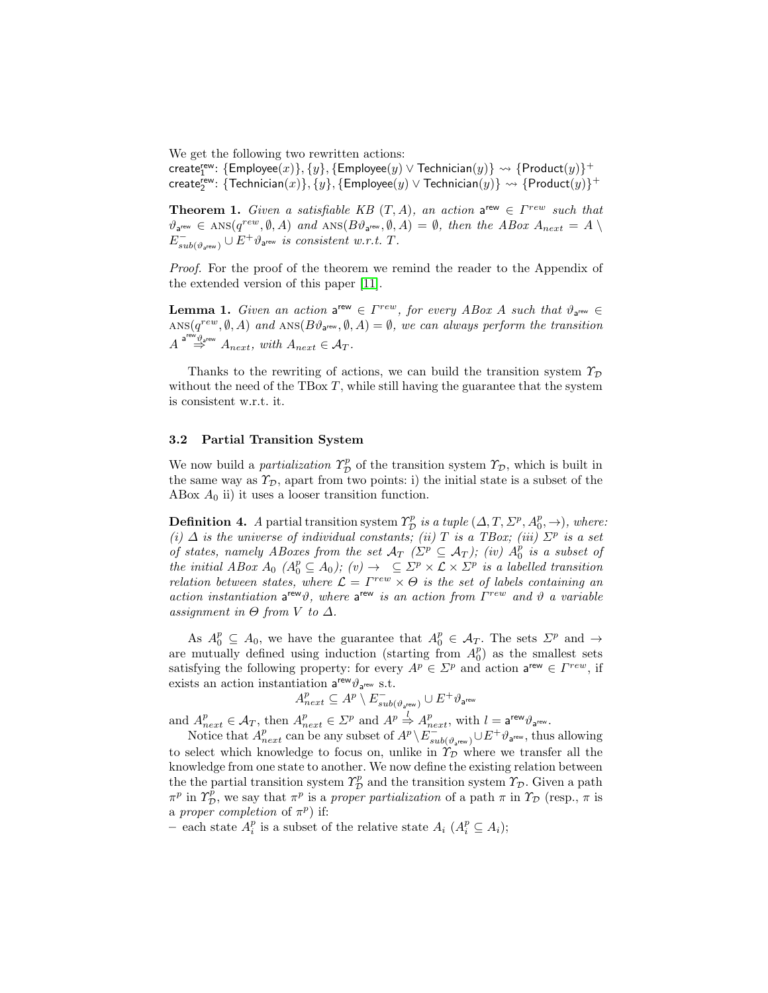We get the following two rewritten actions:

 $\mathsf{create}^\mathsf{rew}_1 \colon \{\mathsf{Employee}(x)\}, \{y\}, \{\mathsf{Employee}(y) \lor \mathsf{Technician}(y)\} \leadsto \{\mathsf{Product}(y)\}^+$  $\mathsf{create}^\mathsf{rew}_2\colon \{\mathsf{Technician}(x)\}, \{y\}, \{\mathsf{Employee}(y) \lor \mathsf{Technician}(y)\} \leadsto \{\mathsf{Product}(y)\}^+$ 

**Theorem 1.** Given a satisfiable KB  $(T, A)$ , an action a<sup>rew</sup>  $\in \Gamma^{rew}$  such that  $\vartheta_{\mathsf{a}^{\mathsf{rew}}}\in\text{ANS}(q^{rew},\emptyset,A)\text{ and } \text{ANS}(B\vartheta_{\mathsf{a}^{\mathsf{rew}}},\emptyset,A)=\emptyset,\text{ then the }ABox\text{ }A_{next}=A\setminus\mathsf{a}^{\mathsf{new}}$  $E_{sub(\vartheta_{\mathsf{a}^{\mathsf{rew}}})}^{-} \cup E^{+}\vartheta_{\mathsf{a}^{\mathsf{rew}}}$  is consistent w.r.t. T.

Proof. For the proof of the theorem we remind the reader to the Appendix of the extended version of this paper [\[11\]](#page-11-10).

**Lemma 1.** Given an action  $a^{rew} \in \Gamma^{rew}$ , for every ABox A such that  $\vartheta_{a^{rew}} \in$  $\text{ANS}(q^{rew}, \emptyset, A)$  and  $\text{ANS}(B\vartheta_{\text{new}}, \emptyset, A) = \emptyset$ , we can always perform the transition  $A \stackrel{\mathsf{a}^{\mathsf{rew}}\vartheta_{\mathsf{a}^{\mathsf{rew}}}}{\Rightarrow} A_{next}, \ with \ A_{next} \in \mathcal{A}_T.$ 

Thanks to the rewriting of actions, we can build the transition system  $\mathcal{T}_{\mathcal{D}}$ without the need of the TBox  $T$ , while still having the guarantee that the system is consistent w.r.t. it.

#### 3.2 Partial Transition System

We now build a *partialization*  $\Upsilon_{\mathcal{D}}^p$  of the transition system  $\Upsilon_{\mathcal{D}}$ , which is built in the same way as  $\mathcal{T}_{\mathcal{D}}$ , apart from two points: i) the initial state is a subset of the ABox  $A_0$  ii) it uses a looser transition function.

**Definition 4.** A partial transition system  $\Upsilon_{\mathcal{D}}^p$  is a tuple  $(\Delta, T, \Sigma^p, A_0^p, \to)$ , where: (i)  $\Delta$  is the universe of individual constants; (ii) T is a TBox; (iii)  $\Sigma^p$  is a set of states, namely ABoxes from the set  $\mathcal{A}_T$  ( $\Sigma^p \subseteq \mathcal{A}_T$ ); (iv)  $A_0^p$  is a subset of the initial ABox  $A_0$  ( $A_0^p \subseteq A_0$ ); (v)  $\rightarrow$   $\subseteq \Sigma^p \times \mathcal{L} \times \Sigma^p$  is a labelled transition relation between states, where  $\mathcal{L} = \Gamma^{rew} \times \Theta$  is the set of labels containing an action instantiation a<sup>rew</sup> $\vartheta$ , where a<sup>rew</sup> is an action from  $\Gamma^{rew}$  and  $\vartheta$  a variable assignment in  $\Theta$  from V to  $\Delta$ .

As  $A_0^p \subseteq A_0$ , we have the guarantee that  $A_0^p \in \mathcal{A}_T$ . The sets  $\Sigma^p$  and  $\rightarrow$ are mutually defined using induction (starting from  $A_0^p$ ) as the smallest sets satisfying the following property: for every  $A^p \in \Sigma^p$  and action  $a^{rew} \in \Gamma^{rew}$ , if exists an action instantiation  $a^{rew}\vartheta_{a^{rew}}$  s.t.

$$
A_{next}^p \subseteq A^p \setminus E_{sub(\vartheta_{\mathsf{a}^{\mathsf{rew}}})}^- \cup E^+ \vartheta_{\mathsf{a}^{\mathsf{rew}}}
$$

and  $A_{next}^p \in \mathcal{A}_T$ , then  $A_{next}^p \in \mathcal{L}^p$  and  $A^p \stackrel{l}{\Rightarrow} A_{next}^p$ , with  $l = \mathsf{a}^{\mathsf{rew}} \vartheta_{\mathsf{a}^{\mathsf{rew}}}$ .

Notice that  $A_{next}^p$  can be any subset of  $A^p \setminus \overline{E}_{sub(\vartheta_{a^{rew}})}^- \cup E^+ \vartheta_{a^{rew}},$  thus allowing to select which knowledge to focus on, unlike in  $\hat{T}_D$  where we transfer all the knowledge from one state to another. We now define the existing relation between the the partial transition system  $\varUpsilon_{\mathcal{D}}^p$  and the transition system  $\varUpsilon_{\mathcal{D}}$ . Given a path  $\pi^p$  in  $\varUpsilon^{\bar{p}}_{\cal D}$ , we say that  $\pi^p$  is a proper partialization of a path  $\pi$  in  $\varUpsilon_{\cal D}$  (resp.,  $\pi$  is a proper completion of  $\pi^p$ ) if:

– each state  $A_i^p$  is a subset of the relative state  $A_i$   $(A_i^p \subseteq A_i)$ ;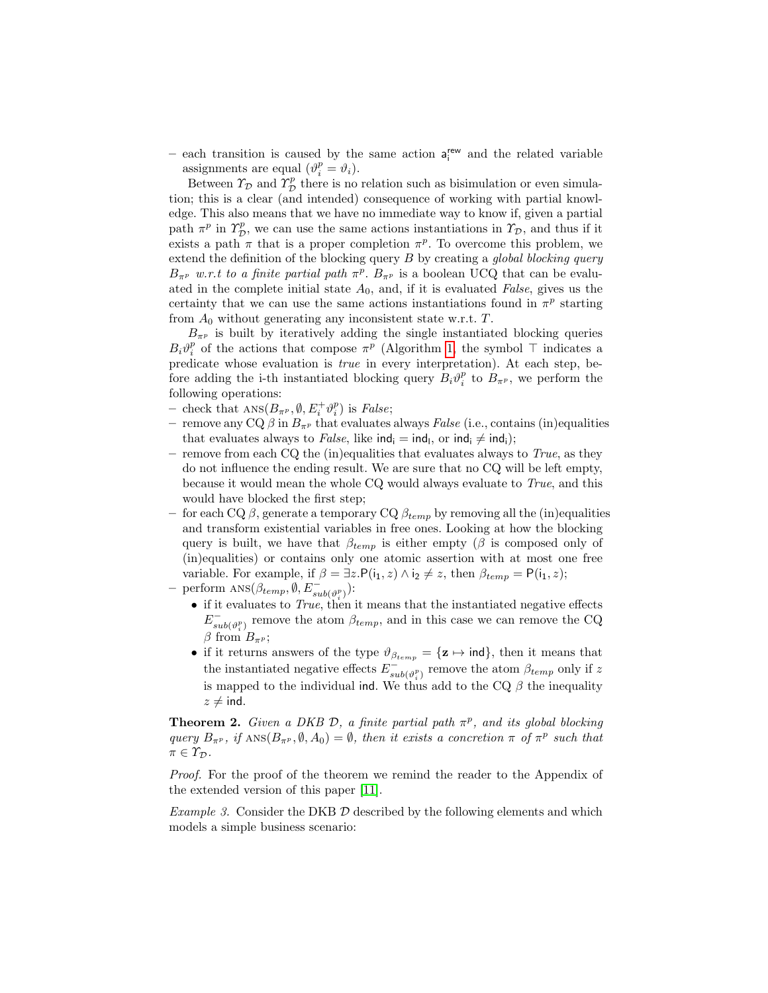– each transition is caused by the same action  $a_i^{rew}$  and the related variable assignments are equal  $(\vartheta_i^p = \vartheta_i)$ .

Between  $\Upsilon_{\mathcal{D}}$  and  $\Upsilon_{\mathcal{D}}^p$  there is no relation such as bisimulation or even simulation; this is a clear (and intended) consequence of working with partial knowledge. This also means that we have no immediate way to know if, given a partial path  $\pi^p$  in  $\Upsilon^p_{\mathcal{D}}$ , we can use the same actions instantiations in  $\Upsilon_{\mathcal{D}}$ , and thus if it exists a path  $\pi$  that is a proper completion  $\pi^p$ . To overcome this problem, we extend the definition of the blocking query  $B$  by creating a global blocking query  $B_{\pi^p}$  w.r.t to a finite partial path  $\pi^p$ .  $B_{\pi^p}$  is a boolean UCQ that can be evaluated in the complete initial state  $A_0$ , and, if it is evaluated False, gives us the certainty that we can use the same actions instantiations found in  $\pi^p$  starting from  $A_0$  without generating any inconsistent state w.r.t.  $T$ .

 $B_{\pi^p}$  is built by iteratively adding the single instantiated blocking queries  $B_i \vartheta_i^p$  of the actions that compose  $\pi^p$  (Algorithm [1,](#page-9-0) the symbol  $\top$  indicates a predicate whose evaluation is true in every interpretation). At each step, before adding the i-th instantiated blocking query  $B_i \vartheta_i^p$  to  $B_{\pi^p}$ , we perform the following operations:

- check that  $\text{ANS}(B_{\pi^p}, \emptyset, E_i^+ \vartheta_i^p)$  is *False*;
- remove any CQ  $\beta$  in  $B_{\pi^p}$  that evaluates always False (i.e., contains (in)equalities that evaluates always to *False*, like  $\text{ind}_{i} = \text{ind}_{l}$ , or  $\text{ind}_{i} \neq \text{ind}_{i}$ );
- remove from each CQ the (in)equalities that evaluates always to  $True$ , as they do not influence the ending result. We are sure that no CQ will be left empty, because it would mean the whole CQ would always evaluate to True, and this would have blocked the first step;
- for each CQ  $\beta$ , generate a temporary CQ  $\beta_{temp}$  by removing all the (in)equalities and transform existential variables in free ones. Looking at how the blocking query is built, we have that  $\beta_{temp}$  is either empty ( $\beta$  is composed only of (in)equalities) or contains only one atomic assertion with at most one free variable. For example, if  $\beta = \exists z \cdot P(i_1, z) \land i_2 \neq z$ , then  $\beta_{temp} = P(i_1, z)$ ;
- perform  $\text{ANS}(\beta_{temp}, \emptyset, E_{sub(\vartheta_i^p)}^-)$ :
	- if it evaluates to True, then it means that the instantiated negative effects  $E_{cs}^ \sum_{sub(\vartheta_i^p)}$  remove the atom  $\beta_{temp}$ , and in this case we can remove the CQ  $\beta \text{ from } B_{\pi^p};$
	- if it returns answers of the type  $\vartheta_{\beta_{temp}} = {\mathbf{z} \mapsto \text{ind}}$ , then it means that the instantiated negative effects  $E_{\alpha}^ \int_{sub(\vartheta_i^p)}^{\infty}$  remove the atom  $\beta_{temp}$  only if z is mapped to the individual ind. We thus add to the CQ  $\beta$  the inequality  $z \neq \text{ind}.$

**Theorem 2.** Given a DKB  $\mathcal{D}$ , a finite partial path  $\pi^p$ , and its global blocking query  $B_{\pi^p}$ , if  $\text{ANS}(B_{\pi^p}, \emptyset, A_0) = \emptyset$ , then it exists a concretion  $\pi$  of  $\pi^p$  such that  $\pi \in \Upsilon_{\mathcal{D}}$ .

Proof. For the proof of the theorem we remind the reader to the Appendix of the extended version of this paper [\[11\]](#page-11-10).

*Example 3.* Consider the DKB  $D$  described by the following elements and which models a simple business scenario: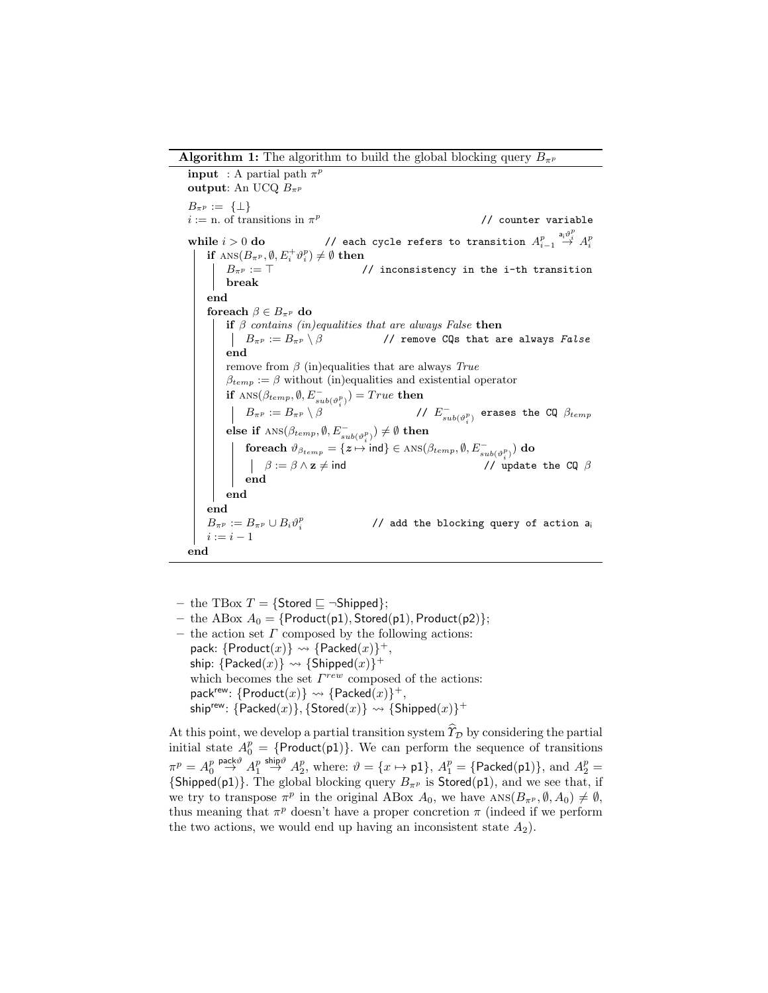**Algorithm 1:** The algorithm to build the global blocking query  $B_{\pi^p}$ 

**input** : A partial path  $\pi^p$ output: An UCQ  $B_{\pi^p}$  $B_{\pi P} := \{\perp\}$  $i := n$ . of transitions in  $\pi^p$ // counter variable while  $i > 0$  do  $\hspace{1cm}$  // each cycle refers to transition  $A_{i-1}^p$  $\stackrel{\mathsf{a}_i \vartheta_i^p}{\rightarrow} A_i^p$ if  $\textsc{ans}(B_{\pi^p},\emptyset,E^+_i\vartheta^p_i)\neq\emptyset$  then  $B_{\pi^p} := \top$  // inconsistency in the i-th transition break end foreach  $\beta \in B_{\pi^p}$  do if  $\beta$  contains (in)equalities that are always False then  $\left| B_{\pi^p} := B_{\pi^p} \setminus \beta \right|$  // remove CQs that are always False end remove from  $\beta$  (in)equalities that are always True  $\beta_{temp} := \beta$  without (in)equalities and existential operator if  $\text{ANS}(\beta_{temp}, \emptyset, E_{sub(\vartheta_i^p)}) = True$  then  $\left| B_{\pi^p} := B_{\pi^p} \setminus \beta \right|$  $\int_{sub(\vartheta_i^p)}^{\infty}$  erases the CQ  $\beta_{temp}$ else if  $\textsc{ans}(\beta_{temp}, \emptyset, E_{sub(\vartheta^p_i)}^-) \neq \emptyset$  then foreach  $\vartheta_{\beta_{temp}} = \{z \mapsto \text{ind}\} \in \text{ANS}(\beta_{temp}, \emptyset, E_{sub(\vartheta_i^p)}^{-})$  do  $\beta := \beta \wedge z \neq \text{ind}$  // update the CQ  $\beta$ end end end  $B_{\pi^p} := B_{\pi^p} \cup B_i \vartheta_i^p$ // add the blocking query of action a<sup>i</sup>  $i := i - 1$ end

- <span id="page-9-0"></span>– the TBox  $T = \{ \text{Stored } \sqsubseteq \neg \text{Shipped} \};$
- the ABox  $A_0 = \{Product(p1), Street(p1), Product(p2)\};$  $-$  the action set  $\Gamma$  composed by the following actions: pack:  $\{Product(x)\} \rightsquigarrow \{Packet(x)\}^+,$ ship:  $\{\mathsf{Packet}(x)\} \leadsto \{\mathsf{Shipped}(x)\}^+$ which becomes the set  $\Gamma^{rew}$  composed of the actions: pack<sup>rew</sup>:  $\{Product(x)\} \rightsquigarrow \{Packet(x)\}^+,$  $\mathsf{ship}^{\mathsf{rew}}\colon \{\mathsf{Packed}(x)\}, \{\mathsf{Stored}(x)\} \rightsquigarrow \{\mathsf{Shipped}(x)\}^+$

At this point, we develop a partial transition system  $\hat{\mathcal{T}}_{\mathcal{D}}$  by considering the partial initial state  $A_0^p = \{Product(p1)\}\$ . We can perform the sequence of transitions  $\pi^p = A_0^p$  $\stackrel{\mathsf{pack}\vartheta}{\rightarrow} A^p_1$ ship $\stackrel{\circ}{\rightarrow}$   $A_2^p$ , where:  $\vartheta = \{x \mapsto \textsf{p1}\}, A_1^p = \{\textsf{Packet}(\textsf{p1})\}, \text{ and } A_2^p = \emptyset$  ${\text{(Shipped(p1))}}$ . The global blocking query  $B_{\pi^p}$  is Stored(p1), and we see that, if we try to transpose  $\pi^p$  in the original ABox  $A_0$ , we have  $ANS(B_{\pi^p}, \emptyset, A_0) \neq \emptyset$ , thus meaning that  $\pi^p$  doesn't have a proper concretion  $\pi$  (indeed if we perform the two actions, we would end up having an inconsistent state  $A_2$ ).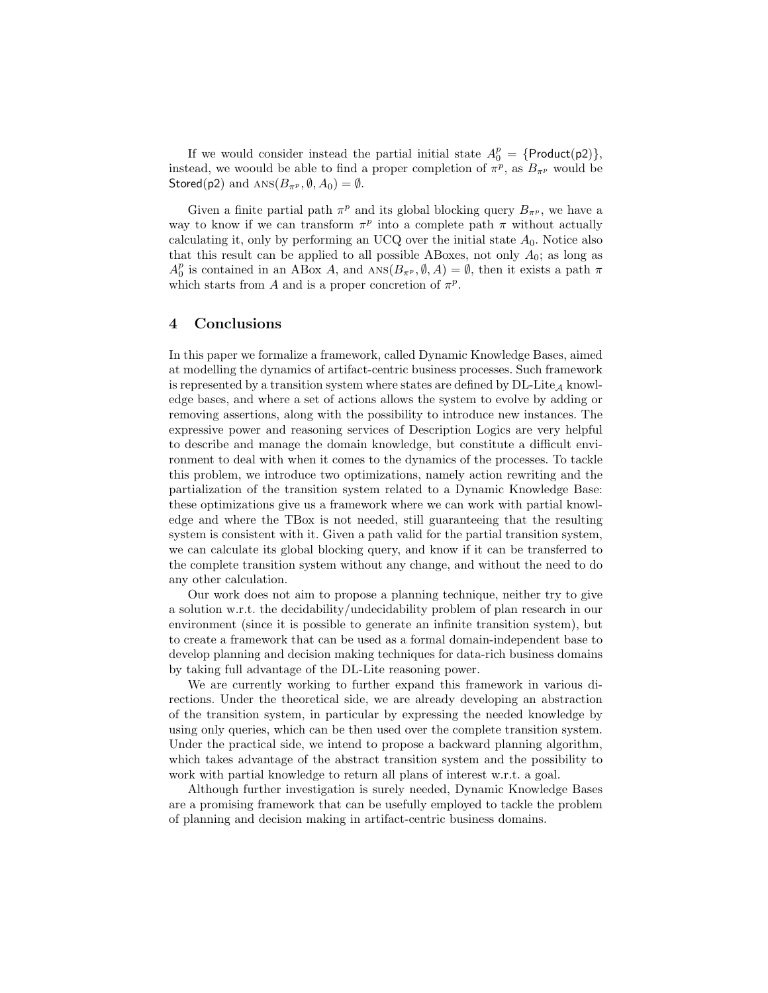If we would consider instead the partial initial state  $A_0^p = \{Product(p2)\},\$ instead, we woould be able to find a proper completion of  $\pi^p$ , as  $B_{\pi^p}$  would be Stored(p2) and  $ANS(B_{\pi^p}, \emptyset, A_0) = \emptyset$ .

Given a finite partial path  $\pi^p$  and its global blocking query  $B_{\pi^p}$ , we have a way to know if we can transform  $\pi^p$  into a complete path  $\pi$  without actually calculating it, only by performing an UCQ over the initial state  $A_0$ . Notice also that this result can be applied to all possible ABoxes, not only  $A_0$ ; as long as  $A_0^p$  is contained in an ABox A, and  $\text{ANS}(B_{\pi^p}, \emptyset, A) = \emptyset$ , then it exists a path  $\pi$ which starts from A and is a proper concretion of  $\pi^p$ .

## 4 Conclusions

In this paper we formalize a framework, called Dynamic Knowledge Bases, aimed at modelling the dynamics of artifact-centric business processes. Such framework is represented by a transition system where states are defined by  $DL\text{-}Lie_{\mathcal{A}}$  knowledge bases, and where a set of actions allows the system to evolve by adding or removing assertions, along with the possibility to introduce new instances. The expressive power and reasoning services of Description Logics are very helpful to describe and manage the domain knowledge, but constitute a difficult environment to deal with when it comes to the dynamics of the processes. To tackle this problem, we introduce two optimizations, namely action rewriting and the partialization of the transition system related to a Dynamic Knowledge Base: these optimizations give us a framework where we can work with partial knowledge and where the TBox is not needed, still guaranteeing that the resulting system is consistent with it. Given a path valid for the partial transition system, we can calculate its global blocking query, and know if it can be transferred to the complete transition system without any change, and without the need to do any other calculation.

Our work does not aim to propose a planning technique, neither try to give a solution w.r.t. the decidability/undecidability problem of plan research in our environment (since it is possible to generate an infinite transition system), but to create a framework that can be used as a formal domain-independent base to develop planning and decision making techniques for data-rich business domains by taking full advantage of the DL-Lite reasoning power.

We are currently working to further expand this framework in various directions. Under the theoretical side, we are already developing an abstraction of the transition system, in particular by expressing the needed knowledge by using only queries, which can be then used over the complete transition system. Under the practical side, we intend to propose a backward planning algorithm, which takes advantage of the abstract transition system and the possibility to work with partial knowledge to return all plans of interest w.r.t. a goal.

Although further investigation is surely needed, Dynamic Knowledge Bases are a promising framework that can be usefully employed to tackle the problem of planning and decision making in artifact-centric business domains.